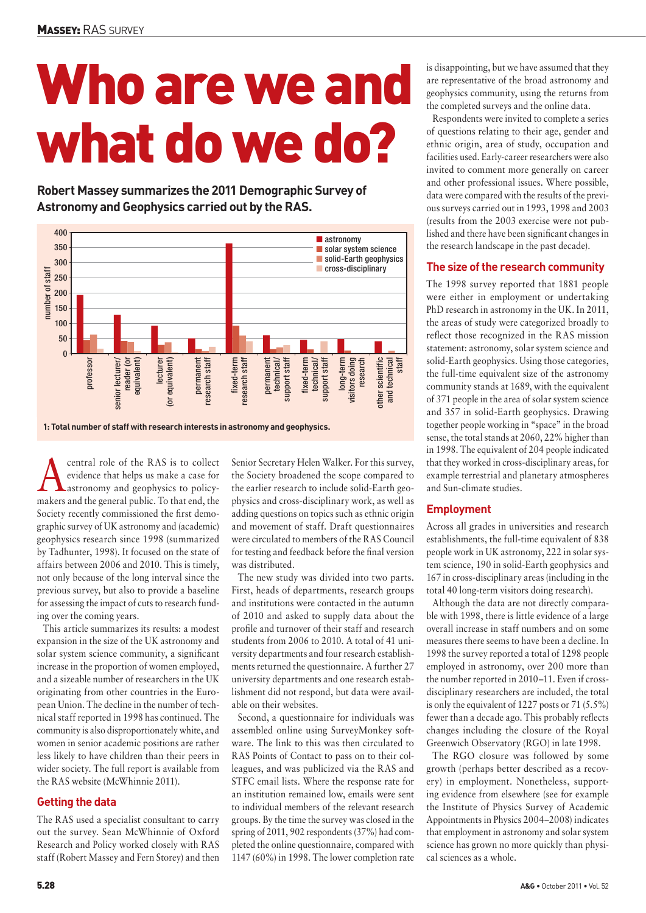# Who are we and what do we do?

**Robert Massey summarizes the 2011 Demographic Survey of Astronomy and Geophysics carried out by the RAS.**



**1: Total number of staff with research interests in astronomy and geophysics.**

**A** central role of the RAS is to collect evidence that helps us make a case for astronomy and geophysics to policyevidence that helps us make a case for makers and the general public. To that end, the Society recently commissioned the first demographic survey of UK astronomy and (academic) geophysics research since 1998 (summarized by Tadhunter, 1998). It focused on the state of affairs between 2006 and 2010. This is timely, not only because of the long interval since the previous survey, but also to provide a baseline for assessing the impact of cuts to research funding over the coming years.

This article summarizes its results: a modest expansion in the size of the UK astronomy and solar system science community, a significant increase in the proportion of women employed, and a sizeable number of researchers in the UK originating from other countries in the European Union. The decline in the number of technical staff reported in 1998 has continued. The community is also disproportionately white, and women in senior academic positions are rather less likely to have children than their peers in wider society. The full report is available from the RAS website (McWhinnie 2011).

### **Getting the data**

The RAS used a specialist consultant to carry out the survey. Sean McWhinnie of Oxford Research and Policy worked closely with RAS staff (Robert Massey and Fern Storey) and then

Senior Secretary Helen Walker. For this survey, the Society broadened the scope compared to the earlier research to include solid-Earth geophysics and cross-disciplinary work, as well as adding questions on topics such as ethnic origin and movement of staff. Draft questionnaires were circulated to members of the RAS Council for testing and feedback before the final version was distributed.

The new study was divided into two parts. First, heads of departments, research groups and institutions were contacted in the autumn of 2010 and asked to supply data about the profile and turnover of their staff and research students from 2006 to 2010. A total of 41 university departments and four research establishments returned the questionnaire. A further 27 university departments and one research establishment did not respond, but data were available on their websites.

Second, a questionnaire for individuals was assembled online using SurveyMonkey software. The link to this was then circulated to RAS Points of Contact to pass on to their colleagues, and was publicized via the RAS and STFC email lists. Where the response rate for an institution remained low, emails were sent to individual members of the relevant research groups. By the time the survey was closed in the spring of 2011, 902 respondents (37%) had completed the online questionnaire, compared with 1147 (60%) in 1998. The lower completion rate

is disappointing, but we have assumed that they are representative of the broad astronomy and geophysics community, using the returns from the completed surveys and the online data.

Respondents were invited to complete a series of questions relating to their age, gender and ethnic origin, area of study, occupation and facilities used. Early-career researchers were also invited to comment more generally on career and other professional issues. Where possible, data were compared with the results of the previous surveys carried out in 1993, 1998 and 2003 (results from the 2003 exercise were not published and there have been significant changes in the research landscape in the past decade).

### **The size of the research community**

The 1998 survey reported that 1881 people were either in employment or undertaking PhD research in astronomy in the UK. In 2011, the areas of study were categorized broadly to reflect those recognized in the RAS mission statement: astronomy, solar system science and solid-Earth geophysics. Using those categories, the full-time equivalent size of the astronomy community stands at 1689, with the equivalent of 371 people in the area of solar system science and 357 in solid-Earth geophysics. Drawing together people working in "space" in the broad sense, the total stands at 2060, 22% higher than in 1998. The equivalent of 204 people indicated that they worked in cross-disciplinary areas, for example terrestrial and planetary atmospheres and Sun-climate studies.

## **Employment**

Across all grades in universities and research establishments, the full-time equivalent of 838 people work in UK astronomy, 222 in solar system science, 190 in solid-Earth geophysics and 167 in cross-disciplinary areas (including in the total 40 long-term visitors doing research).

Although the data are not directly comparable with 1998, there is little evidence of a large overall increase in staff numbers and on some measures there seems to have been a decline. In 1998 the survey reported a total of 1298 people employed in astronomy, over 200 more than the number reported in 2010–11. Even if crossdisciplinary researchers are included, the total is only the equivalent of 1227 posts or 71 (5.5%) fewer than a decade ago. This probably reflects changes including the closure of the Royal Greenwich Observatory (RGO) in late 1998.

The RGO closure was followed by some growth (perhaps better described as a recovery) in employment. Nonetheless, supporting evidence from elsewhere (see for example the Institute of Physics Survey of Academic Appointments in Physics 2004–2008) indicates that employment in astronomy and solar system science has grown no more quickly than physical sciences as a whole.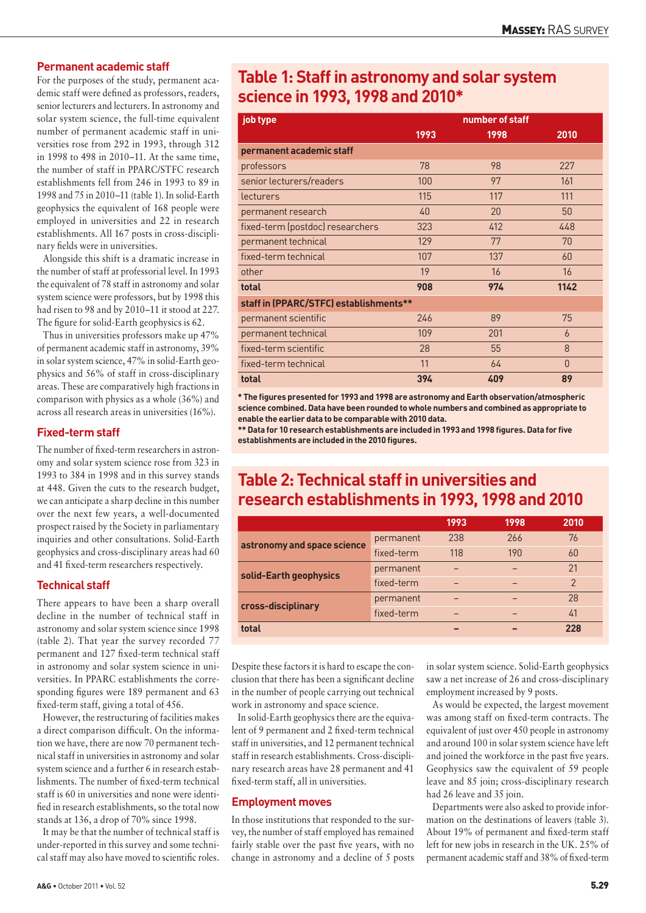## **Permanent academic staff**

For the purposes of the study, permanent academic staff were defined as professors, readers, senior lecturers and lecturers. In astronomy and solar system science, the full-time equivalent number of permanent academic staff in universities rose from 292 in 1993, through 312 in 1998 to 498 in 2010–11. At the same time, the number of staff in PPARC/STFC research establishments fell from 246 in 1993 to 89 in 1998 and 75 in 2010–11 (table 1). In solid-Earth geophysics the equivalent of 168 people were employed in universities and 22 in research establishments. All 167 posts in cross-disciplinary fields were in universities.

Alongside this shift is a dramatic increase in the number of staff at professorial level. In 1993 the equivalent of 78 staff in astronomy and solar system science were professors, but by 1998 this had risen to 98 and by 2010–11 it stood at 227. The figure for solid-Earth geophysics is 62.

Thus in universities professors make up 47% of permanent academic staff in astronomy, 39% in solar system science, 47% in solid-Earth geophysics and 56% of staff in cross-disciplinary areas. These are comparatively high fractions in comparison with physics as a whole (36%) and across all research areas in universities (16%).

#### **Fixed-term staff**

The number of fixed-term researchers in astronomy and solar system science rose from 323 in 1993 to 384 in 1998 and in this survey stands at 448. Given the cuts to the research budget, we can anticipate a sharp decline in this number over the next few years, a well-documented prospect raised by the Society in parliamentary inquiries and other consultations. Solid-Earth geophysics and cross-disciplinary areas had 60 and 41 fixed-term researchers respectively.

#### **Technical staff**

There appears to have been a sharp overall decline in the number of technical staff in astronomy and solar system science since 1998 (table 2). That year the survey recorded 77 permanent and 127 fixed-term technical staff in astronomy and solar system science in universities. In PPARC establishments the corresponding figures were 189 permanent and 63 fixed-term staff, giving a total of 456.

However, the restructuring of facilities makes a direct comparison difficult. On the information we have, there are now 70 permanent technical staff in universities in astronomy and solar system science and a further 6 in research establishments. The number of fixed-term technical staff is 60 in universities and none were identified in research establishments, so the total now stands at 136, a drop of 70% since 1998.

It may be that the number of technical staff is under-reported in this survey and some technical staff may also have moved to scientific roles.

# **Table 1: Staff in astronomy and solar system science in 1993, 1998 and 2010\***

| job type                               | number of staff |      |                |  |  |  |  |
|----------------------------------------|-----------------|------|----------------|--|--|--|--|
|                                        | 1993            | 1998 | 2010           |  |  |  |  |
| permanent academic staff               |                 |      |                |  |  |  |  |
| professors                             | 78              | 98   | 227            |  |  |  |  |
| senior lecturers/readers               | 100             | 97   | 161            |  |  |  |  |
| lecturers                              | 115             | 117  | 111            |  |  |  |  |
| permanent research                     | 40              | 20   | 50             |  |  |  |  |
| fixed-term (postdoc) researchers       | 323             | 412  | 448            |  |  |  |  |
| permanent technical                    | 129             | 77   | 70             |  |  |  |  |
| fixed-term technical                   | 107             | 137  | 60             |  |  |  |  |
| other                                  | 19              | 16   | 16             |  |  |  |  |
| total                                  | 908             | 974  | 1142           |  |  |  |  |
| staff in (PPARC/STFC) establishments** |                 |      |                |  |  |  |  |
| permanent scientific                   | 246             | 89   | 75             |  |  |  |  |
| permanent technical                    | 109             | 201  | $\overline{6}$ |  |  |  |  |
| fixed-term scientific                  | 28              | 55   | 8              |  |  |  |  |
| fixed-term technical                   | 11              | 64   | $\Omega$       |  |  |  |  |
| total                                  | 394             | 409  | 89             |  |  |  |  |

**\* The figures presented for 1993 and 1998 are astronomy and Earth observation/atmospheric science combined. Data have been rounded to whole numbers and combined as appropriate to enable the earlier data to be comparable with 2010 data.** 

**\*\* Data for 10 research establishments are included in 1993 and 1998 figures. Data for five establishments are included in the 2010 figures.** 

# **Table 2: Technical staff in universities and research establishments in 1993, 1998 and 2010**

|            | 1993 | 1998       | 2010          |
|------------|------|------------|---------------|
| permanent  |      |            | 76            |
| fixed-term |      |            | 60            |
| permanent  |      |            | 21            |
| fixed-term |      |            | $\mathcal{P}$ |
| permanent  |      |            | 28            |
| fixed-term |      |            | 41            |
|            |      |            | 228           |
|            |      | 238<br>118 | 266<br>190    |

Despite these factors it is hard to escape the conclusion that there has been a significant decline in the number of people carrying out technical work in astronomy and space science.

In solid-Earth geophysics there are the equivalent of 9 permanent and 2 fixed-term technical staff in universities, and 12 permanent technical staff in research establishments. Cross-disciplinary research areas have 28 permanent and 41 fixed-term staff, all in universities.

#### **Employment moves**

In those institutions that responded to the survey, the number of staff employed has remained fairly stable over the past five years, with no change in astronomy and a decline of 5 posts

in solar system science. Solid-Earth geophysics saw a net increase of 26 and cross-disciplinary employment increased by 9 posts.

As would be expected, the largest movement was among staff on fixed-term contracts. The equivalent of just over 450 people in astronomy and around 100 in solar system science have left and joined the workforce in the past five years. Geophysics saw the equivalent of 59 people leave and 85 join; cross-disciplinary research had 26 leave and 35 join.

Departments were also asked to provide information on the destinations of leavers (table 3). About 19% of permanent and fixed-term staff left for new jobs in research in the UK. 25% of permanent academic staff and 38% of fixed-term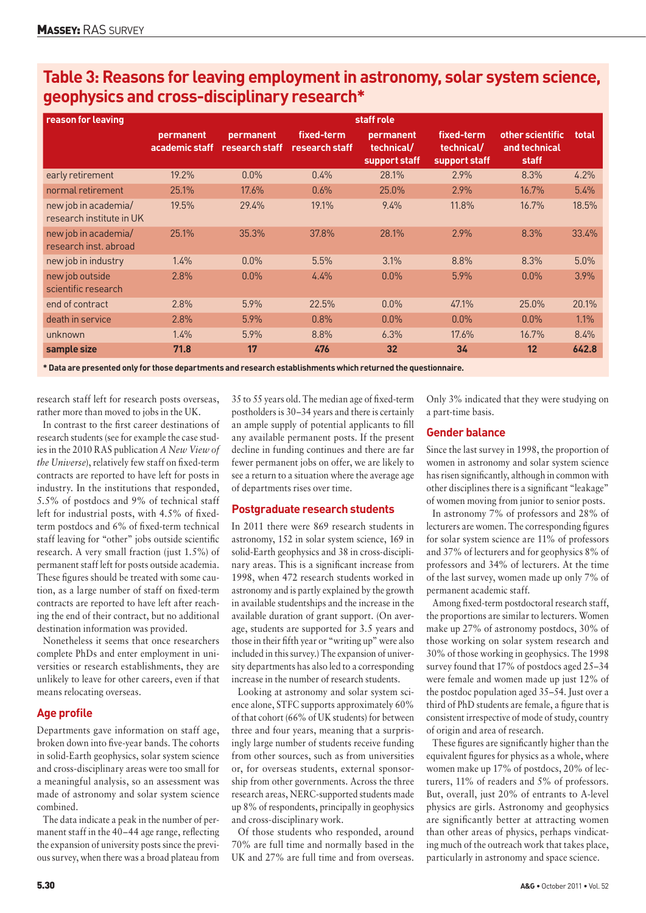# **Table 3: Reasons for leaving employment in astronomy, solar system science, geophysics and cross-disciplinary research\***

| reason for leaving                               | staff role                  |                             |                              |                                          |                                           |                                            |       |
|--------------------------------------------------|-----------------------------|-----------------------------|------------------------------|------------------------------------------|-------------------------------------------|--------------------------------------------|-------|
|                                                  | permanent<br>academic staff | permanent<br>research staff | fixed-term<br>research staff | permanent<br>technical/<br>support staff | fixed-term<br>technical/<br>support staff | other scientific<br>and technical<br>staff | total |
| early retirement                                 | 19.2%                       | 0.0%                        | 0.4%                         | 28.1%                                    | 2.9%                                      | 8.3%                                       | 4.2%  |
| normal retirement                                | 25.1%                       | 17.6%                       | 0.6%                         | 25.0%                                    | 2.9%                                      | 16.7%                                      | 5.4%  |
| new job in academia/<br>research institute in UK | 19.5%                       | 29.4%                       | 19.1%                        | 9.4%                                     | 11.8%                                     | 16.7%                                      | 18.5% |
| new job in academia/<br>research inst. abroad    | 25.1%                       | 35.3%                       | 37.8%                        | 28.1%                                    | 2.9%                                      | 8.3%                                       | 33.4% |
| new job in industry                              | 1.4%                        | 0.0%                        | 5.5%                         | 3.1%                                     | 8.8%                                      | 8.3%                                       | 5.0%  |
| new job outside<br>scientific research           | 2.8%                        | $0.0\%$                     | 4.4%                         | $0.0\%$                                  | 5.9%                                      | $0.0\%$                                    | 3.9%  |
| end of contract                                  | 2.8%                        | 5.9%                        | 22.5%                        | $0.0\%$                                  | 47.1%                                     | 25.0%                                      | 20.1% |
| death in service                                 | 2.8%                        | 5.9%                        | 0.8%                         | $0.0\%$                                  | 0.0%                                      | 0.0%                                       | 1.1%  |
| unknown                                          | $1.4\%$                     | 5.9%                        | 8.8%                         | 6.3%                                     | 17.6%                                     | 16.7%                                      | 8.4%  |
| sample size                                      | 71.8                        | 17                          | 476                          | 32                                       | 34                                        | 12                                         | 642.8 |

**\* Data are presented only for those departments and research establishments which returned the questionnaire.**

research staff left for research posts overseas, rather more than moved to jobs in the UK.

In contrast to the first career destinations of research students (see for example the case studies in the 2010 RAS publication *A New View of the Universe*), relatively few staff on fixed-term contracts are reported to have left for posts in industry. In the institutions that responded, 5.5% of postdocs and 9% of technical staff left for industrial posts, with 4.5% of fixedterm postdocs and 6% of fixed-term technical staff leaving for "other" jobs outside scientific research. A very small fraction (just 1.5%) of permanent staff left for posts outside academia. These figures should be treated with some caution, as a large number of staff on fixed-term contracts are reported to have left after reaching the end of their contract, but no additional destination information was provided.

Nonetheless it seems that once researchers complete PhDs and enter employment in universities or research establishments, they are unlikely to leave for other careers, even if that means relocating overseas.

#### **Age profile**

Departments gave information on staff age, broken down into five-year bands. The cohorts in solid-Earth geophysics, solar system science and cross-disciplinary areas were too small for a meaningful analysis, so an assessment was made of astronomy and solar system science combined.

The data indicate a peak in the number of permanent staff in the 40–44 age range, reflecting the expansion of university posts since the previous survey, when there was a broad plateau from

35 to 55 years old. The median age of fixed-term postholders is 30–34 years and there is certainly an ample supply of potential applicants to fill any available permanent posts. If the present decline in funding continues and there are far fewer permanent jobs on offer, we are likely to see a return to a situation where the average age of departments rises over time.

#### **Postgraduate research students**

In 2011 there were 869 research students in astronomy, 152 in solar system science, 169 in solid-Earth geophysics and 38 in cross-disciplinary areas. This is a significant increase from 1998, when 472 research students worked in astronomy and is partly explained by the growth in available studentships and the increase in the available duration of grant support. (On average, students are supported for 3.5 years and those in their fifth year or "writing up" were also included in this survey.) The expansion of university departments has also led to a corresponding increase in the number of research students.

Looking at astronomy and solar system science alone, STFC supports approximately 60% of that cohort (66% of UK students) for between three and four years, meaning that a surprisingly large number of students receive funding from other sources, such as from universities or, for overseas students, external sponsorship from other governments. Across the three research areas, NERC-supported students made up 8% of respondents, principally in geophysics and cross-disciplinary work.

Of those students who responded, around 70% are full time and normally based in the UK and 27% are full time and from overseas. Only 3% indicated that they were studying on a part-time basis.

#### **Gender balance**

Since the last survey in 1998, the proportion of women in astronomy and solar system science has risen significantly, although in common with other disciplines there is a significant "leakage" of women moving from junior to senior posts.

In astronomy 7% of professors and 28% of lecturers are women. The corresponding figures for solar system science are 11% of professors and 37% of lecturers and for geophysics 8% of professors and 34% of lecturers. At the time of the last survey, women made up only 7% of permanent academic staff.

Among fixed-term postdoctoral research staff, the proportions are similar to lecturers. Women make up 27% of astronomy postdocs, 30% of those working on solar system research and 30% of those working in geophysics. The 1998 survey found that 17% of postdocs aged 25–34 were female and women made up just 12% of the postdoc population aged 35–54. Just over a third of PhD students are female, a figure that is consistent irrespective of mode of study, country of origin and area of research.

These figures are significantly higher than the equivalent figures for physics as a whole, where women make up 17% of postdocs, 20% of lecturers, 11% of readers and 5% of professors. But, overall, just 20% of entrants to A-level physics are girls. Astronomy and geophysics are significantly better at attracting women than other areas of physics, perhaps vindicating much of the outreach work that takes place, particularly in astronomy and space science.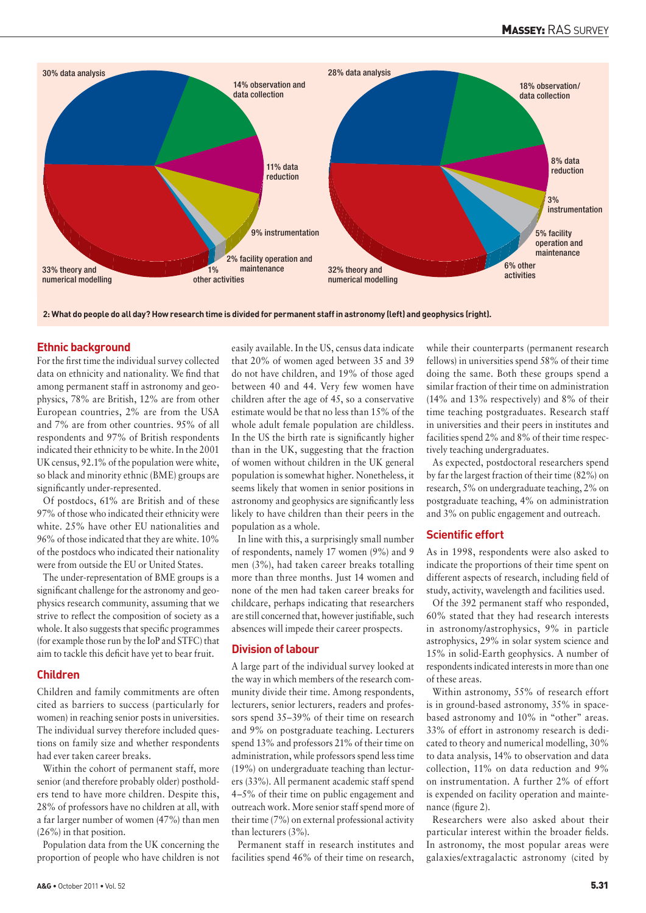

**2: What do people do all day? How research time is divided for permanent staff in astronomy (left) and geophysics (right).**

#### **Ethnic background**

For the first time the individual survey collected data on ethnicity and nationality. We find that among permanent staff in astronomy and geophysics, 78% are British, 12% are from other European countries, 2% are from the USA and 7% are from other countries. 95% of all respondents and 97% of British respondents indicated their ethnicity to be white. In the 2001 UK census, 92.1% of the population were white, so black and minority ethnic (BME) groups are significantly under-represented.

Of postdocs, 61% are British and of these 97% of those who indicated their ethnicity were white. 25% have other EU nationalities and 96% of those indicated that they are white. 10% of the postdocs who indicated their nationality were from outside the EU or United States.

The under-representation of BME groups is a significant challenge for the astronomy and geophysics research community, assuming that we strive to reflect the composition of society as a whole. It also suggests that specific programmes (for example those run by the IoP and STFC) that aim to tackle this deficit have yet to bear fruit.

#### **Children**

Children and family commitments are often cited as barriers to success (particularly for women) in reaching senior posts in universities. The individual survey therefore included questions on family size and whether respondents had ever taken career breaks.

Within the cohort of permanent staff, more senior (and therefore probably older) postholders tend to have more children. Despite this, 28% of professors have no children at all, with a far larger number of women (47%) than men (26%) in that position.

Population data from the UK concerning the proportion of people who have children is not

easily available. In the US, census data indicate that 20% of women aged between 35 and 39 do not have children, and 19% of those aged between 40 and 44. Very few women have children after the age of 45, so a conservative estimate would be that no less than 15% of the whole adult female population are childless. In the US the birth rate is significantly higher than in the UK, suggesting that the fraction of women without children in the UK general population is somewhat higher. Nonetheless, it seems likely that women in senior positions in astronomy and geophysics are significantly less likely to have children than their peers in the population as a whole.

In line with this, a surprisingly small number of respondents, namely 17 women (9%) and 9 men (3%), had taken career breaks totalling more than three months. Just 14 women and none of the men had taken career breaks for childcare, perhaps indicating that researchers are still concerned that, however justifiable, such absences will impede their career prospects.

#### **Division of labour**

A large part of the individual survey looked at the way in which members of the research community divide their time. Among respondents, lecturers, senior lecturers, readers and professors spend 35–39% of their time on research and 9% on postgraduate teaching. Lecturers spend 13% and professors 21% of their time on administration, while professors spend less time (19%) on undergraduate teaching than lecturers (33%). All permanent academic staff spend 4–5% of their time on public engagement and outreach work. More senior staff spend more of their time (7%) on external professional activity than lecturers (3%).

Permanent staff in research institutes and facilities spend 46% of their time on research,

while their counterparts (permanent research fellows) in universities spend 58% of their time doing the same. Both these groups spend a similar fraction of their time on administration (14% and 13% respectively) and 8% of their time teaching postgraduates. Research staff in universities and their peers in institutes and facilities spend 2% and 8% of their time respectively teaching undergraduates.

As expected, postdoctoral researchers spend by far the largest fraction of their time (82%) on research, 5% on undergraduate teaching, 2% on postgraduate teaching, 4% on administration and 3% on public engagement and outreach.

#### **Scientific effort**

As in 1998, respondents were also asked to indicate the proportions of their time spent on different aspects of research, including field of study, activity, wavelength and facilities used.

Of the 392 permanent staff who responded, 60% stated that they had research interests in astronomy/astrophysics, 9% in particle astrophysics, 29% in solar system science and 15% in solid-Earth geophysics. A number of respondents indicated interests in more than one of these areas.

Within astronomy, 55% of research effort is in ground-based astronomy, 35% in spacebased astronomy and 10% in "other" areas. 33% of effort in astronomy research is dedicated to theory and numerical modelling, 30% to data analysis, 14% to observation and data collection, 11% on data reduction and 9% on instrumentation. A further 2% of effort is expended on facility operation and maintenance (figure 2).

Researchers were also asked about their particular interest within the broader fields. In astronomy, the most popular areas were galaxies/extragalactic astronomy (cited by